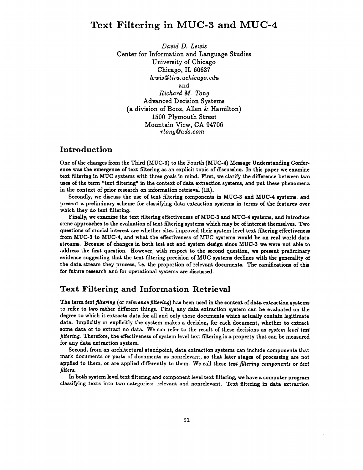# Text Filtering in MUC-3 and MUC-4

*David D. Lewis*  Center for Information and Language Studies University of Chicago Chicago, IL 60637  $lewis@tira.uchicaqo.edu$ and *Richard M. Tong*  Advanced Decision Systems (a division of Booz, Allen & Hamilton) 1500 Plymouth Street Mountain View, CA 94706 *r~ong~ads.com* 

#### **Introduction**

One of the changes from the Third (MUC-3) to the Fourth (MUC-4) Message Understanding Conference was the emergence of text filtering as an explicit topic of discussion. In this paper we examine text filtering in MUC systems with three goals in mind. First, we clarify the difference between two uses of the term "text filtering" in the context of data extraction systems, and put these phenomena in the context of prior research on information retrieval (IR).

Secondly, we discuss the use of text filtering components in MUC-3 and MUC-4 systems, and present a preliminary scheme for classifying data extraction systems in terms of the features over which they do text filtering.

Finally, we examine the text filtering effectiveness of MUC-3 and MUC-4 systems, and introduce some approaches to the evaluation of text filtering systems which may be of interest themselves. Two questions of crucial interest are whether sites improved their system level text filtering effectiveness from MUC-3 to MUC-4, and what the effectiveness of MUC systems would be on real world data streams. Because of changes in both test set and system design since MUC-3 we were not able to address the first question. However, with respect to the second question, we present preliminary evidence suggesting that the text filtering precision of MUC systems declines with the generality of the data stream they process, i.e. the proportion of relevant documents. The ramifications of this for future research and for operational systems are discussed.

## **Text Filtering and Information Retrieval**

The term text filtering (or *relevance filtering*) has been used in the context of data extraction systems to refer to two rather different things. First, any data extraction system can be evaluated on the degree to which it extracts data for all and only those documents which actually contain legitimate data. Implicitly or explicitly the system makes a decision, for each document, whether to extract some data or to extract no data. We can refer to the result of these decisions as system level text *filtering.* Therefore, the effectiveness of system level text filtering is a property that can be measured for any data extraction system.

Second, from an architectural standpoint, data extraction systems can include components that mark documents or parts of documents as nonrelevant, so that later stages of processing are not applied to them, or are applied differently to them. We call these text *filtering components* or text *filters.* 

In both system level text filtering and component level text filtering, we have a computer program classifying texts into two categories: relevant and nonrelevant. Text filtering in data extraction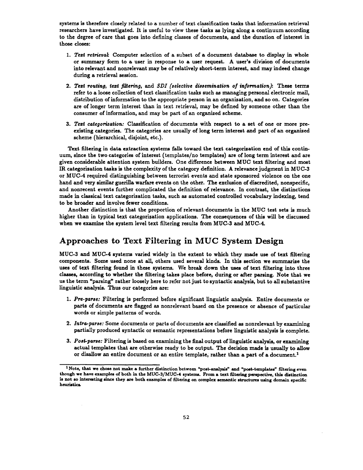systems is therefore closely related to a number of text classification tasks that information retrieval researchers have investigated. It is useful to view these tasks as lying along a continuum according to the degree of care that goes into defining classes of documents, and the duration of interest in those closes:

- *1. Tezt retrieoal:* Computer selection of a subset of a document database to display in whole or summary form to a user in response to a user request. A user's division of documents into relevant and nonrelevant may be of relatively short-term interest, and may indeed change during a retrieval session.
- 2. Text routing, text filtering, and *SDI* (selective dissemination of information): These terms refer to a loose collection of text classification tasks such as managing personal electronic mail, distribution of information to the appropriate person in an organization, and so on. Categories are of longer term interest than in text retrieval, may be defined by someone other than the consumer of information, and may be part of an organized scheme.
- *3. Tezt categorization:* Classification of documents with respect to a set of one or more preexisting categories. The categories are usually of long term interest and part of an organized scheme (hierarchical, disjoint, etc.).

Text filtering in data extraction systems falls toward the text categorization end of this continuum, since the two categories of interest (templates/no templates) axe of long term interest and axe given considerable attention system builders. One difference between MUC text filtering and most IR categorization tasks is the complexity of the category definition. A relevance judgment in MUC-3 or MUC-4 required distinguishing between terrorist events and state sponsored violence on the one hand and very similar guerilla warfare events on the other. The exclusion of discredited, nonspecific, and nonrecent events further complicated the definition of relevance. In contrast, the distinctions made in classical text categorization tasks, such as automated controlled vocabulary indexing, tend to be broader and involve fewer conditions.

Another distinction is that the proportion of relevant documents in the MUC test sets is much higher than in typical text categorization applications. The consequences of this will be discussed when we examine the system level text filtering results from MUC-3 and MUC-4.

## **Approaches to Text Filtering in MUC System Design**

MUC-3 and MUC-4 systems varied widely in the extent to which they made use of text filtering components. Some used none at all, others used several kinds. In this section we summarize the uses of text filtering found in these systems. We break down the uses of text filtering into three classes, according to whether the filtering takes place before, during or after parsing. Note that we us the term "parsing" rather loosely here to refer not just to syntactic analysis, but to all substantive linguistic analysis. Thus our categories are:

- *1. Pre-parse:* Filtering is performed before significant linguistic analysis. Entire documents or parts of documents are flagged as nonrelevant based on the presence or absence of particular words or simple patterns of words.
- *2. Intr~-parse:* Some documents or parts of documents are classified as nonrelevant by examining partially produced syntactic or semantic representations before linguistic analysis is complete.
- *3. Post-parse:* Filtering is based on examining the final output of linguistic analysis, or examining actual templates that are otherwise ready to be output. The decision made is usually to allow or disallow an entire document or an entire template, rather than a part of a document.<sup>1</sup>

 $1$ Note, that we chose not make a further distinction between "post-analysis" and "post-templates" filtering even though we have examples of both in the MUC-3/MUC-4 systems. From a text filtering perspective, this distinction is not so interesting since they are both examples of filtering on complex semantic structures using domain specific heuristics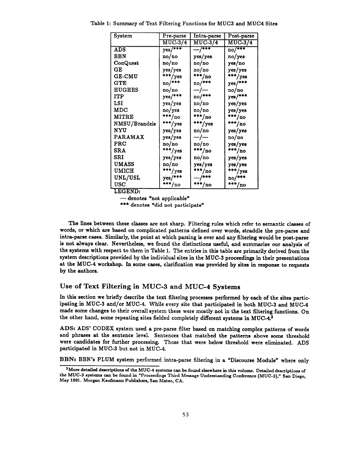| System         | Pre-parse  | Intra-parse | Post-parse |  |  |
|----------------|------------|-------------|------------|--|--|
|                | $MUC-3/4$  | $MUC-3/4$   | $MUC-3/4$  |  |  |
| <b>ADS</b>     | $yes/$ *** | $-$ /***    | no/***     |  |  |
| BBN            | no/no      | yes/yes     | no/yes     |  |  |
| ConQuest       | no/no      | no/no       | yes/no     |  |  |
| GE.            | yes/yes    | no/no       | yes/yes    |  |  |
| <b>GE-CMU</b>  | ***/yes    | $***/no$    | $***/yes$  |  |  |
| $_{\rm GTE}$   | $no/***$   | $no/***$    | $yes/***$  |  |  |
| <b>HUGHES</b>  | no/no      | —/—         | no/no      |  |  |
| ITP            | yes/***    | $no/***$    | $yes/***$  |  |  |
| LSI            | yes/yes    | no/no       | yes/yes    |  |  |
| MDC            | no/yes     | no/no       | yes/yes    |  |  |
| <b>MITRE</b>   | $***/no$   | $***/no$    | $***/no$   |  |  |
| NMSU/Brandeis  | $***/yes$  | ***/yes     | $***/no$   |  |  |
| <b>NYU</b>     | yes/yes    | no/no       | yes/yes    |  |  |
| <b>PARAMAX</b> | yes/yes    | —/—         | no/no      |  |  |
| <b>PRC</b>     | no/no      | no/no       | yes/yes    |  |  |
| <b>SRA</b>     | ***/yes    | ***/no      | $***/no$   |  |  |
| SRI            | yes/yes    | no/no       | yes/yes    |  |  |
| <b>UMASS</b>   | no/no      | yes/yes     | yes/yes    |  |  |
| UMICH          | ***/yes    | ***/no      | ***/yes    |  |  |
| UNL/USL        | yes/***    | $-$ /***    | $no/***$   |  |  |
| <b>USC</b>     | ***/no     | ***/no      | ***/no     |  |  |

Table 1: Summary of Text Filtering Functions for MUC3 and MUC4 Sites

LEGEND:

**--denotes** "not applicable"

\*\*\* denotes "did not participate"

The lines between these classes are not sharp. Filtering rules which refer to semantic classes of words, or which are based on complicated patterns defined over words, straddle the pre-parse and intra-parse cases. Similarly, the point at which parsing is over and any filtering would be post-parse is not always clear. Nevertheless, we found the distinctions useful, and summarize our analysis of the systems with respect to them in Table 1. The entries in this table are primarily derived from the system descriptions provided by the individual sites in the MUC-3 proceedings in their presentations at the MUC-4 workshop. In some cases, clarification was provided by sites in response to requests by the authors.

#### Use of Text Filtering in MUC-3 and MUC-4 Systems

In this section we briefly describe the text filtering processes performed by each of the sites participating in MUC-3 and/or MUC-4. While every site that participated in both MUC-3 and MUC-4 made some changes to their overall system these were mostly not in the text filtering functions. On the other hand, some repeating sites fielded completely different systems in MUC-4.2

ADS: ADS' CODEX system used a pre-parse filter based on matching complex patterns of words and phrases at the sentence level. Sentences that matched the patterns above some threshold were candidates for further processing. Those that were below threshold were eliminated. ADS participated in MUC-3 hut not in MUC-4.

BBN: BBN's PLUM system performed intra-parse filtering in a "Discourse Module" where only

<sup>&</sup>lt;sup>2</sup>More detailed descriptions of the MUC-4 systems can be found elsewhere in this volume. Detailed descriptions of the MUC-3 systems can be found in "Proceedings Third Message Understanding Conference (MUC-3)," San Diego, May 1991. Morgan Kaufmann Publishers, San Mateo, CA.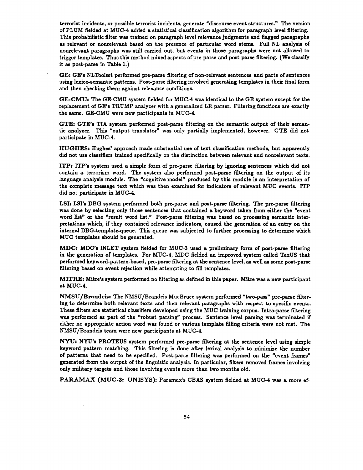terrorist incidents, or possible terrorist incidents, generate "discourse event structures." The version of PLUM fielded at MUC-4 added a statistical classification algorithm for paragraph level filtering. This probabilistic filter was trained on paragraph level relevance judgments and flagged paragraphs as relevant or nonrelevant based on the presence of particular word stems. Full NL analysis of nonrelevant paragraphs was still carried out, but events in those paragraphs were not allowed to trigger templates. Thus this method mixed aspects of pre-parse and post-parse filtering. (We classify it as post-parse in Table 1.)

OEz GE's NLToolset performed pre-parse filtering of non-relevant sentences and parts of sentences using lexico-semantic patterns. Post-parse filtering involved generating templates in their final form and then checking them against relevance conditions.

GE-CMU: The GE-CMU system fielded for MUC-4 was identical to the GE system except for the replacement of GE's TRUMP analyzer with a generalized LR parser. Filtering functions are exactly the same. GE-CMU were new participants in MUC-4.

GTE: GTE's TIA system performed post-parse filtering on the semantic output of their semantic analyzer. This "output translator" was only partially implemented, however. GTE did not participate in MUC-4.

HUGHES: Hughes' approach made substantial use of text classification methods, but apparently did not use classifiers trained specifically on the distinction between relevant and nonrelevant texts.

**ITP:** ITP's system used a simple form of pre-parse filtering by ignoring sentences which did not contain a terrorism word. The system also performed post-parse filtering on the output of its language analysis module. The "cognitive model" produced by this module is an interpretation of the complete message text which was then examined for indicators of relevant MUC events. ITP did not participate in MUC-4.

LSI: LSI's DBG system performed both pre-parse and post-parse filtering. The pre-parse filtering was done by selecting only those sentences that contained a keyword taken from either the "event word list" or the "result word list." Post-parse filtering was based on processing semantic interpretations which, if they contained relevance indicators, caused the generation of an entry on the internal DBG-template-queue. This queue was subjected to further processing to determine which MUC templates should be generated.

MDC: MDC's INLET system fielded for MUC.-3 used a preliminary form of post-parse filtering in the generation of templates. For MUC-4, MDC fielded an improved system called TexUS that performed keyword-pattern-based, pre-parse filtering at the sentence level, as well as some post-parse filtering based on event rejection while attempting to fill templates.

**MITRE:** Mitre's system performed no filtering as defined in this paper. Mitre was a new participant at MUC-4.

NMSU/Brandeis: The NMSU/Brandeis MucBruce system performed "two-pass" pre-parse filtering to determine both relevant texts and then relevant paragraphs with respect to specific events. These filters are statistical classifiers developed using the MUC training corpus. Intra-parse filtering was performed as part of the "robust parsing" process. Sentence level parsing was terminated if either no appropriate action word was found or various template filling criteria were not met. The NMSU/Brandeis team were new participants at MUC-4.

NYU: NYU's PROTEUS system performed pre-parse filtering at the sentence level using simple keyword pattern matching. This filtering is done after lexical analysis to minimize the number of patterns that need to be specified. Post-parse filtering was performed on the "event frames" generated from the output of the linguistic analysis. In particular, filters removed frames involving only military targets and those involving events more than two months old.

PARAMAX (MUC-3: UNISYS): Paramax's CBAS system fielded at MUC-4 was a more ef-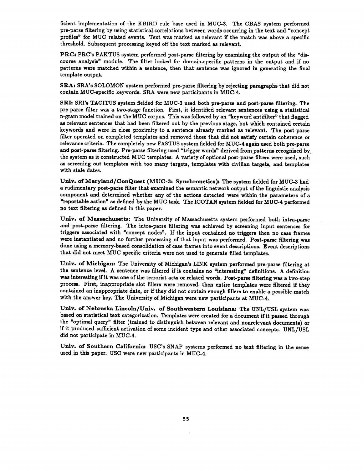ficient implementation of the KBIRD rule base used in MUC-3. The CBAS system performed pre-parse filtering by using statistical correlations between words occurring in the text and "concept profiles" for MUC related events. Text was marked as relevant if the match was above a specific threshold. Subsequent processing keyed off the text marked as relevant.

PRC: PRC's PAKTUS system performed post-parse filtering by examining the output of the "discourse analysis" module. The filter looked for domain-specific patterns in the output and if no patterns were matched within a sentence, then that sentence was ignored in generating the final template output.

SRA: SRA's SOLOMON system performed pre-parse filtering by rejecting paragraphs that did not contain MUC-specific keywords. SRA were new participants in MUC-4.

SRI: SRI's TACITUS system fielded for MUC-3 used both pre-parse and post-parse filtering. The pre-parse filter was a two-stage function. First, it identified relevant sentences using a statistical n-gram model trained on the MUC corpus. This was followed by an "keyword antifilter" that flagged as relevant sentences that had been filtered out by the previous stage, but which contained certain keywords and were in close proximity to a sentence already marked as relevant. The post-parse filter operated on completed templates and removed those that did not satisfy certain coherence or relevance criteria. The completely new FASTUS system fielded for MUC-4 again used both pre-parse and post-parse filtering. Pre-parse filtering used "trigger words" derived from patterns recognized by the system as it constructed MUC templates. A variety of optional post-parse filters were used, such as screening out templates with too many targets, templates with civiIian targets, and templates with stale dates.

Univ. of Maryland/ConQuest (MUC-3: Synchronetics): The system fielded for MUC-3 had **<sup>a</sup>**rudimentary post-parse filter that examined the semantic network output of the linguistic analysis component and determined whether any of the actions detected were within the parameters of a "reportable action" as defined by the MUC task. The ICOTAN system fielded for MUC-4 performed no text filtering as defined in this paper.

Univ. of Massachusetts: The University of Massachusetts system performed both intra-parse and post-parse filtering. The intra-parse filtering was achieved by screening input sentences for triggers associated with "concept nodes". If the input contained no triggers then no case frames were instantiated and no further processing of that input was performed. Post-parse filtering was done using a memory-based consolidation of case frames into event descriptions. Event descriptions that did not meet MUC specific criteria were not used to generate filled templates.

Univ. of Michigan: The University of Michigan's LINK system performed pre-parse filtering at the sentence level. A sentence was filtered if it contains no "interesting" definitions. A definition was interesting if it was one of the terrorist acts or related words. Post-parse filtering was a two-step process. First, inappropriate slot fillers were removed, then entire templates were filtered if they contained an inappropriate date, or if they did not contain enough fillers to enable a possible match with the answer key. The University of Michigan were new participants at MUC-4.

Univ. of Nebraska Lincoln/Univ. of Southwestern Louisiana: The UNL/USL system was based on statistical text categorization. Templates were created for a document if it passed through the "optimal query" filter (trained to distinguish between relevant and nonrelevant documents) or if it produced sufficient activation of some incident type and other associated concepts. UNL/USL did not participate in MUC-4.

Univ. of Southern California: USC's SNAP systems performed no text filtering in the sense used in this paper. USC were new participants in MUC-4.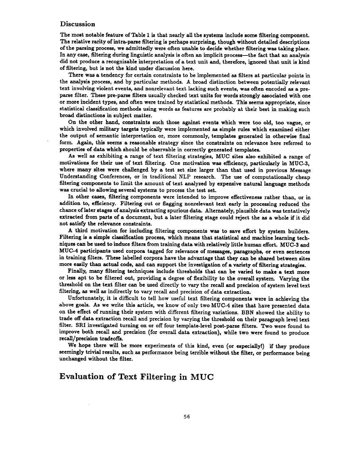#### **Discussion**

The most notable feature of Table 1 is that nearly all the systems include some filtering component. The relative rarity of intra-parse filtering is perhaps surprising, though without detailed descriptions of the parsing process, we admittedly were often unable to decide whether filtering was taking place. In any case, filtering during linguistic analysis is often an implicit process-the fact that an analysis did not produce a recognizable interpretation of a text unit and, therefore, ignored that unit is kind of filtering, but is not the kind under discussion here.

There was a tendency for certain constraints to be implemented as filters at particular points in the analysis process, and by particular methods. A. broad distinction between potentially relevant text involving violent events, and nonrelevant text lacking such events, was often encoded as a preparse filter. These pre-parse filters usually checked text units for words strongly associated with one or more incident types, and often were trained by statistical methods. This seems appropriate, since statistical classification methods using words as features are probably at their best in making such broad distinctions in subject matter.

On the other hand, constraints such those against events which were too old, too vague, or which involved military targets typically were implemented as simple rules which examined either the output of semantic interpretation or, more commonly, templates generated in otherwise final form. Again, this seems a reasonable strategy since the constraints on relevance here referred to properties of data which should be observable in correctly generated templates.

As well as exhibiting a range of text filtering strategies, MUC sites also exhibited a range of motivations for their use of text filtering. One motivation was efficiency, particularly in MUC-3, where many sites were challenged by a test set size larger than that used in previous Message Understanding Conferences, or in traditional NLP research. The use of computationally cheap filtering components to limit the amount of text analyzed by expensive natural language methods was crucial to allowing several systems to process the test set.

In other cases, filtering components were intended to improve effectiveness rather than, or in addition to, efficiency. Filtering out or flagging nonrelevant text early in processing reduced the chance of later stages of analysis extracting spurious data. Alternately, plausible data was tentatively extracted from parts of a document, but a later filtering stage could reject the as a whole if it did not satisfy the relevance constraints.

A third motivation for including filtering components was to save effort by system builders. Filtering is a simple classification process, which means that statistical and machine learning techniques can be used to induce filters from training data with relatively little human effort. MUC-3 and MUC-4 participants used corpora tagged for relevance of messages, paragraphs, or even sentences in training filters. These labelled corpora have the advantage that they can be shared between sites more easily than actual code, and can support the investigation of a variety of filtering strategies.

Finally, many filtering techniques include thresholds that can be varied to make a text more or less apt to be filtered out, providing a degree of flexibility to the overall system. Varying the threshold on the text filter can be used directly to vary the recall and precision of system level text filtering, as well as indirectly to vary recall and precision of data extraction.

Unfortunately, it is difficult to tell how useful text filtering components were in achieving the above goals. As we write this article, we know of only two MUC-4 sites that have presented data on the effect of running their system with different filtering variations. BBN showed the ability to trade off data extraction recall and precision by varying the threshold on their paragraph level text filter. SRI investigated turning on or off four template-level post-parse filters. Two were found to improve both recall and precision (for overall data extraction), while two were found to produce recall/precision tradeoffs.

We hope there will be more experiments of this kind, even (or especially!) if they produce seemingly trivial results, such as performance being terrible without the filter, or performance being unchanged without the filter.

## **Evaluation of Text Filtering in MUC**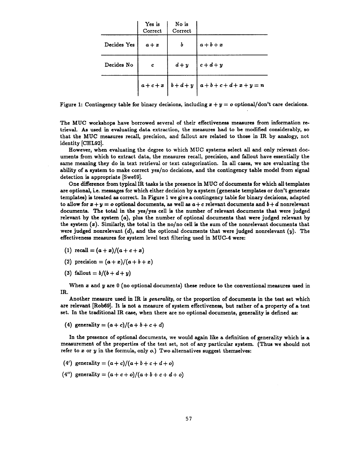|             | Yes is<br>Correct | No is<br>Correct |                                 |
|-------------|-------------------|------------------|---------------------------------|
| Decides Yes | $a + x$           | b                | $a+b+x$                         |
| Decides No. | c                 | $d + y$          | $ c+d+y $                       |
|             |                   |                  | $a+c+x$ $b+d+y$ $a+b+c+d+x+y=n$ |

Figure 1: Contingency table for binary decisions, including  $x + y = o$  optional/don't care decisions.

The MUC workshops have borrowed several of their effectiveness measures from information retrieval. As used in evaluating data extraction, the measures had to be modified considerably, so that the MUC measures recall, precision, and fallout are related to those in IR by analogy, not identity [CHL92].

However, when evaluating the degree to which MUC systems select all and only relevant documents from which to extract data, the measures recall, precision, and fallout have essentially the same meaning they do in text retrieval or text categorization. In all cases, we are evaluating the ability of a system to make correct yes/no decisions, and the contingency table model from signal detection is appropriate [Swe69].

One difference from typical IR tasks is the presence in MUC of documents for which all templates are optional, i.e. messages for which either decision by a system (generate templates or don't generate templates) is treated as correct. In Figure 1 we give a contingency table for binary decisions, adapted to allow for  $x + y = o$  optional documents, as well as  $a + c$  relevant documents and  $b + d$  nonrelevant documents. The total in the yes/yes cell is the number of relevant documents that were judged relevant by the system  $(a)$ , plus the number of optional documents that were judged relevant by the system  $(x)$ . Similarly, the total in the no/no cell is the sum of the nonrelevant documents that were judged nonrelevant  $(d)$ , and the optional documents that were judged nonrelevant  $(y)$ . The effectiveness measures for system level text filtering used in MUC-4 were:

- (1) recall =  $(a+x)/(a+c+x)$
- (2) precision =  $(a + x)/(a + b + x)$
- (3) fallout =  $b/(b + d + y)$

When  $x$  and  $y$  are  $0$  (no optional documents) these reduce to the conventional measures used in IR.

Another measure used in IR is *generality*, or the proportion of documents in the test set which are relevant [Rob69]. It is not a measure of system effectiveness, but rather of a property of a test set. In the traditional IR case, when there are no optional documents, generality is defined as:

(4) generality =  $(a + c)/(a + b + c + d)$ 

In the presence of optional documents, we would again like a definition of generality which is a measurement of the properties of the test set, not of any particular system. (Thus we should not refer to  $x$  or  $y$  in the formula, only  $o$ .) Two alternatives suggest themselves:

- (4') generality =  $(a + c)/(a + b + c + d + o)$
- (4") generality =  $(a + c + o)/(a + b + c + d + o)$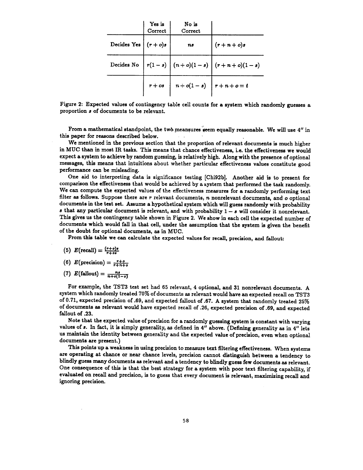|                        | Yes is<br>Correct | No is<br>Correct                                                                                 |                                                |
|------------------------|-------------------|--------------------------------------------------------------------------------------------------|------------------------------------------------|
| Decides Yes $(r + o)s$ |                   | ns                                                                                               | $(r+n+o)s$                                     |
|                        |                   |                                                                                                  | Decides No $ r(1-s)  (n+o)(1-s)  (r+n+o)(1-s)$ |
|                        |                   | $r + os$ $\begin{array}{ c c c c c } \hline r + os & r + o & r + n + o = t \ \hline \end{array}$ |                                                |

Figure 2: Expected values of contingency table cell counts for a system which randomly guesses a proportion 8 of documents to be relevant.

From a mathematical standpoint, the two meansures seem equally reasonable. We will use 4" in this paper for reasons described below.

We mentioned in the previous section that the proportion of relevant documents is much higher in MUC than in most IR tasks. This means that chance effectiveness, i.e. the effectiveness we would expect a system to achieve by random guessing, is relatively high. Along with the presence ofoptionai messages, this means that intuitions about whether particular effectiveness values constitute good performance can be misleading.

One aid to interpreting data is significance testing [Chi92b]. Another aid is to present for comparison the effectiveness that would be achieved by a system that performed the task randomly. We can compute the expected values of the effectiveness measures for a randomly performing text filter as follows. Suppose there are  $r$  relevant documents,  $n$  nonrelevant documents, and  $o$  optional documents in the test set. Assume a hypothetical system which will guess randomly with probability s that any particular document is relevant, and with probability  $1 - s$  will consider it nonrelevant. This gives us the contingency table shown in Figure 2. We show in each cell the expected number of documents which would fall in that cell, under the assumption that the system is given the benefit of the doubt for optional documents, as in MUC.

From this table we can calculate the expected values for recall, precision, and fallout:

- (5)  $E(\text{recall}) = \frac{(r+o)s}{r+o4}$
- (6)  $E(\text{precision})=\frac{r+o}{r+n+o}$
- (7)  $E(\text{fallout}) = \frac{n}{n + o(1 \epsilon)}$

For example, the TST3 test set had 65 relevant, 4 optional, and 31 nonrelevant documents. A system which randomly treated 70% of documents as relevant would have an expected recall on TST3 of 0.71, expected precision of .69, and expected fallout of .67. A system that randomly treated 25% of documents as relevant would have expected recall of .26, expected precision of .69, and expected fallout of .23.

Note that the expected value of precislon for a randomly guessing system is constant with varying values of 8. In fact, it is simply generality, as defined in 4" above. (Defining generality as in 4" lets us maintain the identity between generality and the expected value of precision, even when optional documents are present.)

This points up a weakness in using precision to measure text filtering effectiveness. When systems are operating at chance or near chance levels, precision cannot distinguish between a tendency to blindly guess many documents as relevant and a tendency to blindly guess few documents as relevant. One consequence of this is that the best strategy for a system with poor text filtering capability, if evaluated on recall and precision, is to guess that every document is relevant, maximizing recall and ignoring precision.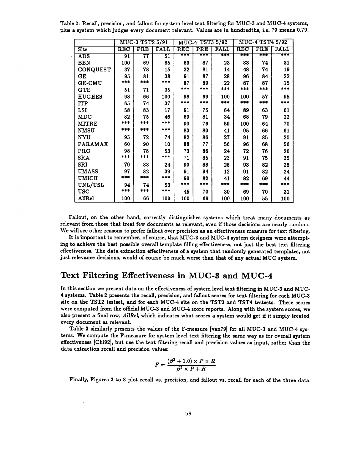Table 2: Recall, precision, and fallout for system level text filtering for MUC-3 and MUC-4 systems, plus a system which judges every document relevant. Values are in hundredths, i.e. 79 means 0.79.

|                | MUC-3 TST2 5/91 |     |             | MUC-4 TST3 5/92 |     |             | MUC-4 TST4 5/92 |     |             |
|----------------|-----------------|-----|-------------|-----------------|-----|-------------|-----------------|-----|-------------|
| Site           | REC             | PRE | <b>FALL</b> | RËC             | PRE | <b>FALL</b> | <b>REC</b>      | PRE | <b>FALL</b> |
| ADS            | 91              | 77  | 51          | $***$           | *** | $***$       | ∗∗∗             | *** | ∓∓∓         |
| <b>BBN</b>     | 100             | 69  | 85          | 83              | 87  | 23          | 83              | 74  | 31          |
| CONQUEST       | 37              | 78  | 15          | 32              | 81  | 14          | 48              | 74  | 19          |
| GE             | 95              | 81  | 38          | 91              | 87  | 28          | 96              | 84  | 22          |
| <b>GE-CMU</b>  | ***             | *** | ***         | 87              | 89  | 22          | 87              | 87  | 15          |
| GTE            | 51              | 71  | 35          | ***             | *** | ***         | ***             | *** | ***         |
| <b>HUGHES</b>  | 98              | 66  | 100         | 98              | 69  | 100         | 100             | 57  | 95          |
| <b>ITP</b>     | 65              | 74  | 37          | ***             | *** | ***         | ***             | *** | ***         |
| LSI            | 58              | 83  | 17          | 91              | 75  | 64          | 89              | 63  | 61          |
| MDC            | 82              | 75  | 46          | 69              | 81  | 34          | 68              | 79  | 22          |
| <b>MITRE</b>   | ***             | *** | ***         | 90              | 76  | 59          | 100             | 64  | 70          |
| <b>NMSU</b>    | ***             | *** | ***         | 83              | 80  | 41          | 95              | 66  | 61          |
| NYU            | 95              | 72  | 74          | 82              | 86  | 27          | 91              | 85  | 20          |
| <b>PARAMAX</b> | 60              | 90  | 10          | 88              | 77  | 56          | 96              | 68  | 56          |
| PRC            | 98              | 78  | 53          | 73              | 86  | 24          | 72              | 76  | 26          |
| <b>SRA</b>     | ***             | *** | ***         | 71              | 85  | 23          | 91              | 75  | 35          |
| SRI            | 70              | 83  | 24          | 90              | 88  | 25          | 93              | 82  | 28          |
| UMASS          | 97              | 82  | 39          | 91              | 94  | 12          | 91              | 82  | 24          |
| <b>UMICH</b>   | ***             | *** | ***         | 90              | 82  | 41          | 82              | 69  | 44          |
| UNL/USL        | 94              | 74  | 53          | ***             |     | ***         |                 | *** |             |
| USC            | ***             | *** | ***         | 45              | 70  | 39          | 69              | 70  | 31          |
| AllRel         | 100             | 66  | 100         | 100             | 69  | 100         | 100             | 55  | 100         |

Fallout, on the other hand, correctly distinguishes systems which treat many documents as relevant from those that treat few documents as relevant, even if those decisions are nearly random. We will see other reasons to prefer fallout over precision as an effectiveness measure for text filtering.

It is important to remember, of course, that MUC-3 and MUC-4 system designers were attempting to achieve the best possible overall template filling effectiveness, not just the best text filtering effectiveness. The data extraction effectiveness of a system that randomly generated templates, not just relevance decisions, would of course be much worse than that of any actual MUC system.

### **Text Filtering Effectiveness in MUC-3 and MUC-4**

In this section we present data on the effectiveness of system level text filtering in MUC-3 and MUC-4 systems. Table 2 presents the recall, precision, and fallout scores for text filtering for each MUC-3 site on the TST2 testset, and for each MUC-4 site on the TST3 and TST4 testsets. These scores were computed from the official MUC-3 and MUC-4 score reports. Along with the system scores, we also present a final row, AllRel, which indicates what scores a system would get if it simply treated every document as relevant.

Table 3 similarly presents the values of the F-measure [van79] for all MUC-3 and MUC-4 systems. We compute the F-measure for system level text filtering the same way as for overall system effectiveness [Chi92], but use the text filtering recall and precision values as input, rather than the data extraction recall and precision values:

$$
F = \frac{(\beta^2+1.0)\times P\times R}{\beta^2\times P+R}
$$

Finally, Figures 3 to 8 plot recall vs. precision, and fallout vs. recall for each of the three data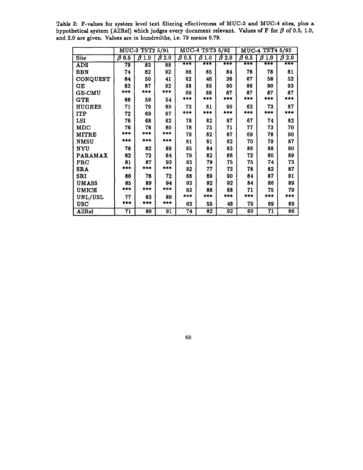**Table 3: F-values for system level text filtering effectiveness of MUC-3 and MUC-4 sites, plus a**  hypothetical system (AllRel) which judges every document relevant. Values of  $F$  for  $\beta$  of 0.5, 1.0, **and 2.0 are given. Values are in hundredths, i.e. 79 means 0.79.** 

|                | MUC-3 TST2 5/91 |          |                 | MUC-4 TST3 5/92 |             |          | MUC-4 TST4 5/92 |             |             |
|----------------|-----------------|----------|-----------------|-----------------|-------------|----------|-----------------|-------------|-------------|
| <b>Site</b>    | $\beta$ 0.5     | β<br>1.0 | $\beta$ 2.0     | $\beta$ 0.5     | $\beta$ 1.0 | Β<br>2.0 | $\beta$ 0.5     | $\beta$ 1.0 | $\beta$ 2.0 |
| <b>ADS</b>     | 79              | 83       | 88              | ∓∓∓             | ∗∗∗         | ≠≭∓      | ∓∓∓             | ***         | ∓≭∓         |
| <b>BBN</b>     | 74              | 82       | 92              | 86              | 85          | 84       | 76              | 78          | 81          |
| CONQUEST       | 64              | 50       | 41              | 62              | 46          | 36       | 67              | 58          | 52          |
| GE             | 83              | 87       | 92              | 88              | 89          | 90       | 86              | 90          | 93          |
| <b>GE-CMU</b>  | ***             | ***      | ***             | 89              | 88          | 87       | 87              | 87          | 87          |
| <b>GTE</b>     | 66              | 59       | 54              | ***             | ***         | ***      | ***             | ***         | ***         |
| <b>HUGHES</b>  | 71              | 79       | 89              | 73              | 81          | 90       | 62              | 73          | 87          |
| <b>ITP</b>     | 72              | 69       | 67              | ***             | ***         | ***      | ***             | ***         | ***         |
| LSI            | 76              | 68       | 62              | 78              | 82          | 87       | 67              | 74          | 82          |
| <b>MDC</b>     | 76              | 78       | 80              | 78              | 75          | 71       | 77              | 73          | 70          |
| <b>MITRE</b>   | ***             | ***      | ***             | 78              | 82          | 87       | 69              | 78          | 90          |
| <b>NMSU</b>    | ***             | ***      | ***             | 81              | 81          | 82       | 70              | 78          | 87          |
| NYU            | 76              | 82       | 89              | 85              | 84          | 83       | 86              | 88          | 90          |
| <b>PARAMAX</b> | 82              | 72       | 64              | 79              | 82          | 86       | 72              | 80          | 89          |
| PRC            | 81              | 87       | 93              | 83              | 79          | 75       | 75              | 74          | 73          |
| <b>SRA</b>     | 主主主             | ***      | ***             | 82              | 77          | 73       | 78              | 82          | 87          |
| SRI            | 80              | 76       | 72              | 88              | 89          | 90       | 84              | 87          | 91          |
| UMASS          | 85              | 89       | 94              | 93              | 92          | 92       | 84              | 86          | 89          |
| <b>UMICH</b>   | ***             | ***      | ***             | 83              | 86          | 88       | 71              | 75          | 79          |
| UNL/USL        | 77              | 83       | 89              | ***             | ***         | ***      | ***             | ***         | ***         |
| <b>USC</b>     | ***             | ***      | ***             | 63              | 55          | 48       | 70              | 69          | 69          |
| AllRel         | 71              | 80       | $\overline{91}$ | $\overline{74}$ | 82          | 92       | 60              | 71          | 86          |

60

 $\bar{z}$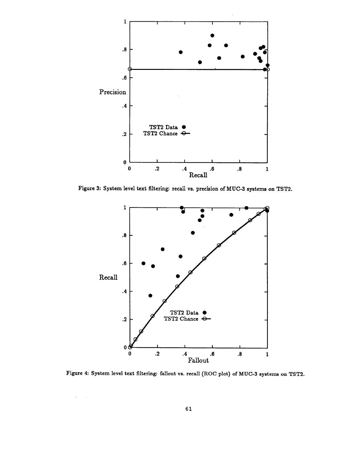

Figure 3: System level text filtering: recall vs. precision of MUC-3 systems on TST2.



Figure 4: System level text filtering: fallout vs. recall (ROC plot) of MUC-3 systems on TST2.

 $\epsilon_{\rm{max}}$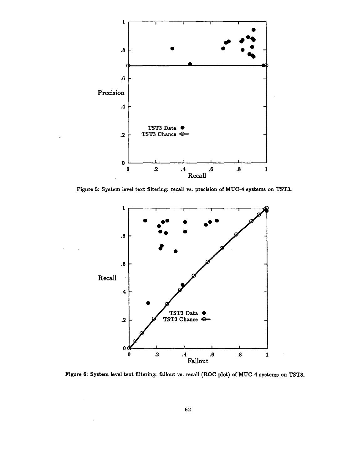

Figure 5: System level text filtering: recall vs. precision of MUC-4 systems on TST3.



Figure 6: System level text filtering: fallout vs. recall (ROC plot) of MUC-4 systems on TST3.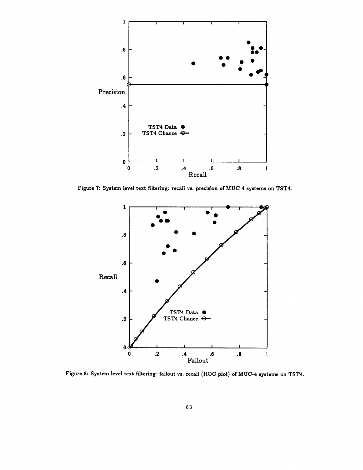

Figure 7: System level text filtering: recall vs. precision of MUC-4 systems on TST4.



Figure 8: System level text filtering: fallout vs. recall (ROC plot) of MUC-4 systems on TST4.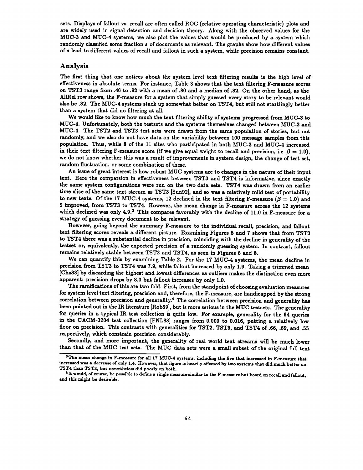sets. Displays of fallout vs. recall are often called ROC (relative operating characteristic) plots and are widely used in signal detection and decision theory. Along with the observed values for the MUC-3 and MUC-4 systems, we also plot the values that would be produced by a system which randomly classified some fraction s of documents as relevant. The graphs show how different values of 8 lead to different values of recall and fallout in such a system, while precision remains constant.

#### Analysis

The first thing that one notices about the system level text filtering results is the high level of effectiveness in absolute terms. For instance, Table 3 shows that the text filtering F-measure scores on TST3 range from .48 to .92 with a mean of .80 and a median of .82. On the other hand, as the AI1Rel row shows, the F-measure for a system that simply guessed every story to be relevant would also be .82. The MUC-4 systems stack up somewhat better on TST4, but still not startlingly better than a system that did no filtering at all.

We would like to know how much the text filtering ability of systems progressed from MUC-3 to MUC-4. Unfortunately, both the testsets and the systems themselves changed between MUC-3 and MUC-4. The TST2 and TST3 test sets were drawn from the same population of stories, but not randomly, and we also do not have data on the variability between 100 message samples from this population. Thus, while 8 of the 11 sites who participated in both MUC-3 and MUC-4 increased in their text filtering F-measure score (if we give equal weight to recall and precision, i.e.  $\beta = 1.0$ ), we do not know whether this was a result of improvements in system design, the change of test set, random fluctuation, or some combination of these.

An issue of great interest is how robust MUC systems are to changes in the nature of their input text. Here the comparsion in effectiveness between TST3 and TST4 is informative, since exactly the same system configurations were run on the two data sets. TST4 was drawn from an earlier time slice of the same text stream as TST3 [Sun92], and so was a relatively mild test of portability to new texts. Of the 17 MUC-4 systems, 12 declined in the text filtering F-measure ( $\beta = 1.0$ ) and 5 improved, from TST3 to TST4. However, the mean change in F-measure across the 12 systems which declined was only  $4.9.^3$  This compares favorably with the decline of 11.0 in F-measure for a strategy of guessing every document to be relevant.

However, going beyond the summary F-measure to the individual recall, precision, and fallout text filtering scores reveals a different picture. Examining Figures 5 and 7 shows that from TST3 to TST4 there was a substantial decline in precision, coinciding with the decline in generality of the testset or, equivalently, the expected precision of a randomly guessing system. In contrast, fallout remains relatively stable between TST3 and TST4, as seen in Figures 6 and 8.

We can quantify this by examining Table 2. For the 17 MUC-4 systems, the mean decline in precision from TST3 to TST4 was 7.9, while fallout increased by only 1.9. Taking a trimmed mean [Cha88] by discarding the highest and lowest differences as outliers makes the distinction even more apparent: precision drops by 8.0 but fallout increases by only 1.0.

The ramifications of this are two-fold. First, from the standpoint of choosing evaluation measures for system level text filtering, precision and, therefore, the F-measure, are handicapped by the strong correlation between precision and generality.<sup>4</sup> The correlation between precision and generality has been pointed out in the IR literature [Rob89], but is more serious in the MUC testsets. The generality for queries in a typical IR test collection is quite low. For example, generality for the 64 queries in the CACM-3204 test collection [FNL88] ranges from 0.000 to 0.016, putting a relatively low floor on precision. This contrasts with generalities for TST2, TST3, and TST4 of .66, .69, and .55 respectively, which constrain precision considerably.

Secondly, and more important, the generality of real world text streams will be much lower than that of the MUC test sets. The MUC data sets were a small subset of the original full text

<sup>&</sup>lt;sup>3</sup>The mean change in F-measure for all 17 MUC-4 systems, including the five that increased in F-measure that increased was a decrease of only 1.4. However, that figure is heavily affected by two systems that did much better on TST4 than TST3, but nevertheless did poorly on both.

 $^4$  It would, of course, be possible to define a single measure similar to the F-measure but based on recall and fallout, and this might be desirable.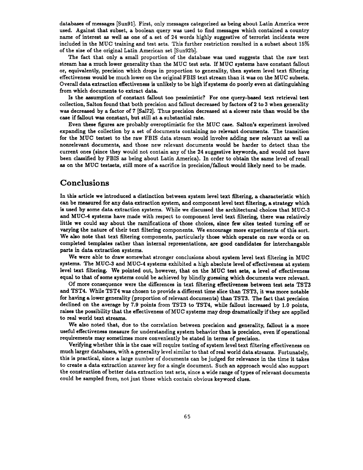databases of messages [Sun91]. First, only messages categorized as being about Latin America were used. Against that subset, a boolean query was used to find messages which contained a country name of interest as well as one of a set of 24 words highly suggestive of terrorist incidents were included in the MUC training and test sets. This further restriction resulted in a subset about 15% of the size of the original Latin American set [Sun92b].

The fact that only a small proportion of the database was used suggests that the raw text stream has a much lower generality than the MUC test sets. If MUC systems have constant fallout or, equivalently, precision which drops in proportion to generality, then system level text filtering effectiveness would be much lower on the original FBIS text stream than it was on the MUC subsets. Overall data extraction effectiveness is unlikely to be high if systems do poorly even at distinguishing from which documents to extract data.

Is the assumption of constant fallout too pessimistic? For one query-based text retrieval test collection, Salton found that both precision and fallout decreased by factors of 2 to 3 when generality was decreased by a factor of 7 [Sa172]. Thus precision decreased at a slower rate than would be the case if fallout was constant, but still at a substantial rate.

Even these figures are probably overoptimistic for the MUC case. Salton's experiment involved expanding the collection by a set of documents containing no relevant documents. The transition for the MUC testset to the raw FBIS data stream would involve adding new relevant as well as nonrelevant documents, and those new relevant documents would be harder to detect than the current ones (since they would not contain any of the 24 suggestive keywords, and would not have been classified by FBIS as being about Latin America). In order to obtain the same level of recall as on the MUC testsets, still more of a sacrifice in preclsion/fallout would likely need to be made.

#### **Conclusions**

In this article we introduced a distinction between system level text filtering, a characteristic which can be measured for any data extraction system, and component level text filtering, a strategy which is used by some data extraction systems. While we discussed the architectural choices that MUC-3 and MUC-4 systems have made with respect to component level text filtering, there was relatively little we could say about the ramifications of those choices, since few sites tested turning off or varying the nature of their text filtering components. We encourage more experiments of this sort. We also note that text filtering components, particularly those which operate on raw words or on completed templates rather than internal representations, are good candidates for interchangable parts in data extraction systems.

We were able to draw somewhat stronger conclusions about system level text filtering in MUC systems. The MUC-3 and MUC-4 systems exhibited a high absolute level of effectiveness at system level text filtering. We pointed out, however, that on the MUC test sets, a level of effectiveness equal to that of some systems could be achieved by blindly guessing which documents were relevant.

Of more consequence were the differences in text filtering effectiveness between test sets TST3 and TST4. While TST4 was chosen to provide a different time slice than TST3, it was more notable for having a lower generality (proportion of relevant documents) than TST3. The fact that precision declined on the average by 7.9 points from TST3 to TST4, while fallout increased by 1.0 points, raises the possibility that the effectiveness of MUC systems may drop dramatically if they are applied to real world text streams.

We also noted that, due to the correlation between precision and generality, fallout is a more useful effectiveness measure for understanding system behavior than is precision, even if operational requirements may sometimes more conveniently be stated in terms of precision.

Verifying whether this is the case will require testing of system level text filtering effectiveness on much larger databases, with a generality level similar to that of real world data streams. Fortunately, this is practical, since a large number of documents can be judged for relevance in the time it takes to create a data extraction answer key for a single document. Such an approach would also support the construction of better data extraction test sets, since a wide range of types of relevant documents could be sampled from, not just those which contain obvious keyword clues.